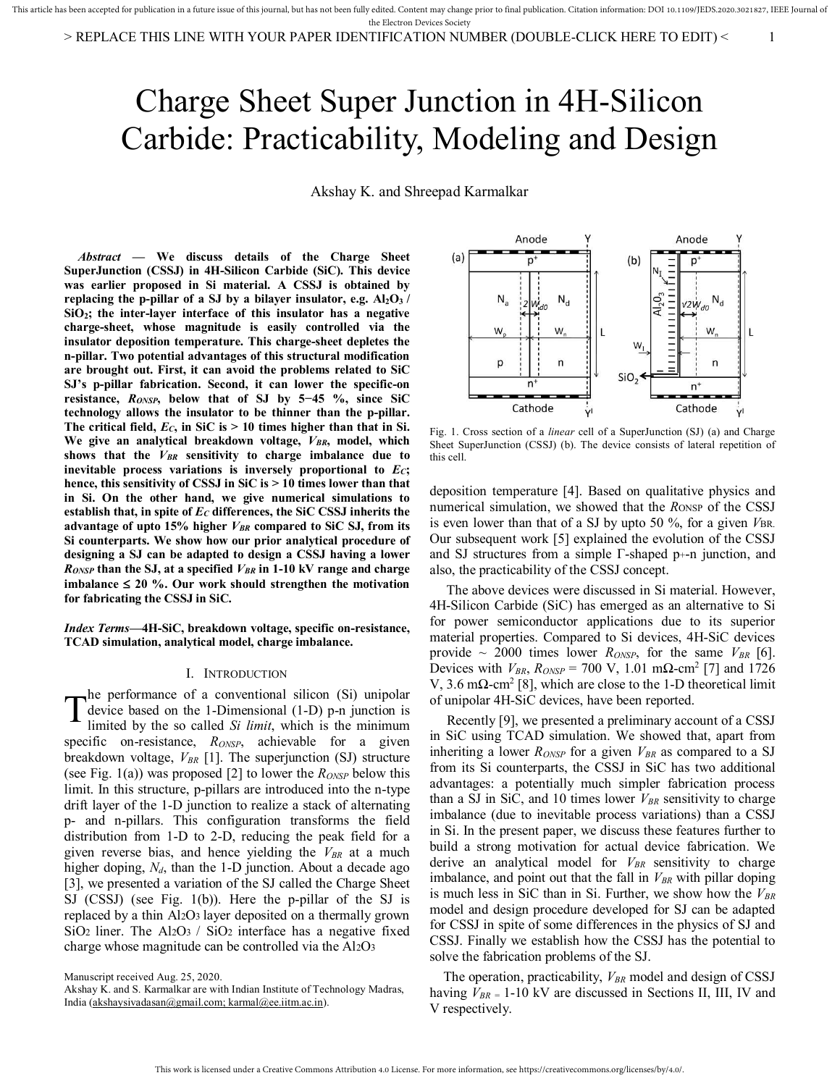# Charge Sheet Super Junction in 4H-Silicon Carbide: Practicability, Modeling and Design

Akshay K. and Shreepad Karmalkar

*Abstract* **— We discuss details of the Charge Sheet SuperJunction (CSSJ) in 4H-Silicon Carbide (SiC). This device was earlier proposed in Si material. A CSSJ is obtained by replacing the p-pillar of a SJ by a bilayer insulator, e.g. Al2O3 / SiO2; the inter-layer interface of this insulator has a negative charge-sheet, whose magnitude is easily controlled via the insulator deposition temperature. This charge-sheet depletes the n-pillar. Two potential advantages of this structural modification are brought out. First, it can avoid the problems related to SiC SJ's p-pillar fabrication. Second, it can lower the specific-on resistance,** *RONSP***, below that of SJ by 5−45 %, since SiC technology allows the insulator to be thinner than the p-pillar. The critical field,** *EC***, in SiC is > 10 times higher than that in Si. We give an analytical breakdown voltage,** *VBR***, model, which shows that the** *VBR* **sensitivity to charge imbalance due to inevitable process variations is inversely proportional to** *EC***; hence, this sensitivity of CSSJ in SiC is > 10 times lower than that in Si. On the other hand, we give numerical simulations to establish that, in spite of** *EC* **differences, the SiC CSSJ inherits the advantage of upto 15% higher** *VBR* **compared to SiC SJ, from its Si counterparts. We show how our prior analytical procedure of designing a SJ can be adapted to design a CSSJ having a lower**  *RONSP* **than the SJ, at a specified** *VBR* **in 1-10 kV range and charge**  imbalance  $\leq 20$  %. Our work should strengthen the motivation **for fabricating the CSSJ in SiC.**

*Index Terms***—4H-SiC, breakdown voltage, specific on-resistance, TCAD simulation, analytical model, charge imbalance.** 

## I. INTRODUCTION

he performance of a conventional silicon (Si) unipolar device based on the 1-Dimensional (1-D) p-n junction is limited by the so called *Si limit*, which is the minimum specific on-resistance, *RONSP*, achievable for a given breakdown voltage, *VBR* [1]. The superjunction (SJ) structure (see Fig. 1(a)) was proposed [2] to lower the *RONSP* below this limit. In this structure, p-pillars are introduced into the n-type drift layer of the 1-D junction to realize a stack of alternating p- and n-pillars. This configuration transforms the field distribution from 1-D to 2-D, reducing the peak field for a given reverse bias, and hence yielding the *VBR* at a much higher doping, *Nd*, than the 1-D junction. About a decade ago [3], we presented a variation of the SJ called the Charge Sheet SJ (CSSJ) (see Fig. 1(b)). Here the p-pillar of the SJ is replaced by a thin Al2O3 layer deposited on a thermally grown SiO<sub>2</sub> liner. The Al<sub>2</sub>O<sub>3</sub> / SiO<sub>2</sub> interface has a negative fixed charge whose magnitude can be controlled via the Al2O<sup>3</sup>  $\mathrm{T}^\text{\tiny nc}_{\scriptscriptstyle \rm lin}$ 

Manuscript received Aug. 25, 2020.



Fig. 1. Cross section of a *linear* cell of a SuperJunction (SJ) (a) and Charge Sheet SuperJunction (CSSJ) (b). The device consists of lateral repetition of this cell.

deposition temperature [4]. Based on qualitative physics and numerical simulation, we showed that the *R*ONSP of the CSSJ is even lower than that of a SJ by upto 50 %, for a given *VBR*. Our subsequent work [5] explained the evolution of the CSSJ and SJ structures from a simple  $\Gamma$ -shaped p+-n junction, and also, the practicability of the CSSJ concept.

 The above devices were discussed in Si material. However, 4H-Silicon Carbide (SiC) has emerged as an alternative to Si for power semiconductor applications due to its superior material properties. Compared to Si devices, 4H-SiC devices provide  $\sim$  2000 times lower *R*<sub>*ONSP*</sub>, for the same  $V_{BR}$  [6]. Devices with  $V_{BR}$ ,  $R_{ONSP}$  = 700 V, 1.01 m $\Omega$ -cm<sup>2</sup> [7] and 1726 V, 3.6 mΩ-cm<sup>2</sup> [8], which are close to the 1-D theoretical limit of unipolar 4H-SiC devices, have been reported.

 Recently [9], we presented a preliminary account of a CSSJ in SiC using TCAD simulation. We showed that, apart from inheriting a lower *RONSP* for a given *VBR* as compared to a SJ from its Si counterparts, the CSSJ in SiC has two additional advantages: a potentially much simpler fabrication process than a SJ in SiC, and 10 times lower *VBR* sensitivity to charge imbalance (due to inevitable process variations) than a CSSJ in Si. In the present paper, we discuss these features further to build a strong motivation for actual device fabrication. We derive an analytical model for *VBR* sensitivity to charge imbalance, and point out that the fall in *VBR* with pillar doping is much less in SiC than in Si. Further, we show how the *VBR* model and design procedure developed for SJ can be adapted for CSSJ in spite of some differences in the physics of SJ and CSSJ. Finally we establish how the CSSJ has the potential to solve the fabrication problems of the SJ.

The operation, practicability, *VBR* model and design of CSSJ having *VBR =* 1-10 kV are discussed in Sections II, III, IV and V respectively.

Akshay K. and S. Karmalkar are with Indian Institute of Technology Madras, India [\(akshaysivadasan@gmail.com; karmal@ee.iitm.ac.in\)](mailto:akshaysivadasan@gmail.com;%20karmal@ee.iitm.ac.in).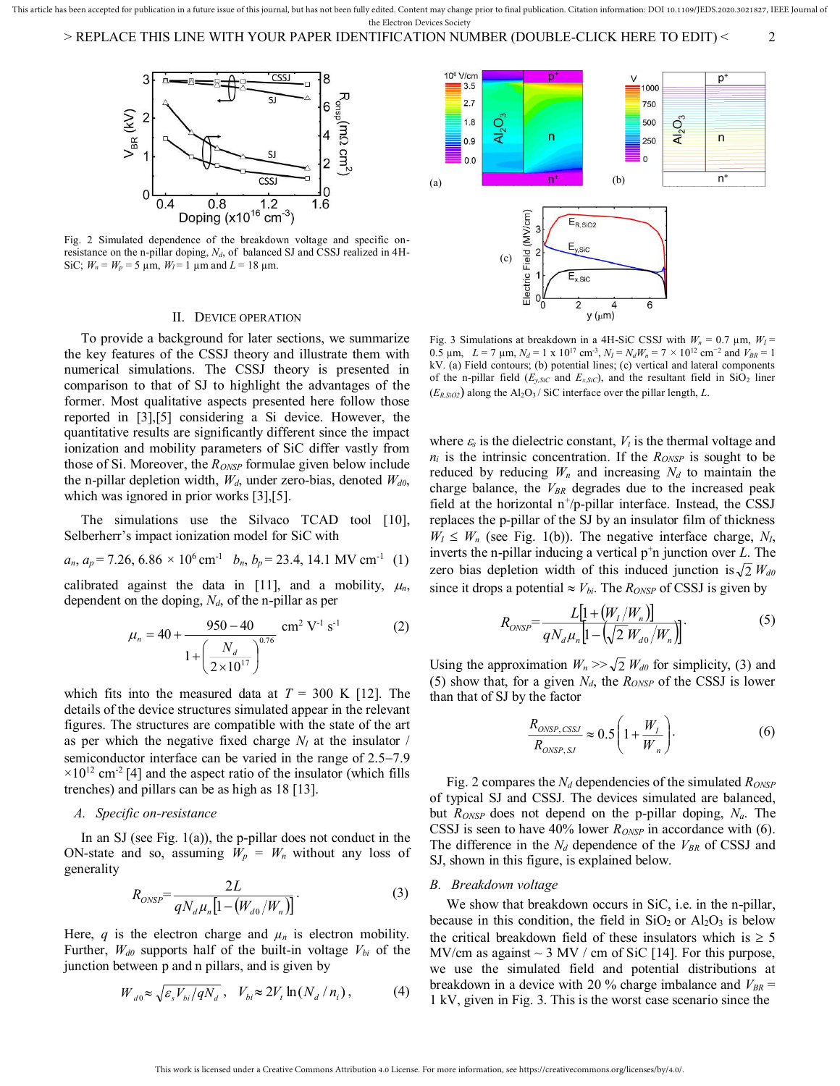

Fig. 2 Simulated dependence of the breakdown voltage and specific onresistance on the n-pillar doping, *Nd*, of balanced SJ and CSSJ realized in 4H-SiC;  $W_n = W_p = 5 \mu m$ ,  $W_l = 1 \mu m$  and  $L = 18 \mu m$ .

#### II. DEVICE OPERATION

 To provide a background for later sections, we summarize the key features of the CSSJ theory and illustrate them with numerical simulations. The CSSJ theory is presented in comparison to that of SJ to highlight the advantages of the former. Most qualitative aspects presented here follow those reported in [3],[5] considering a Si device. However, the quantitative results are significantly different since the impact ionization and mobility parameters of SiC differ vastly from those of Si. Moreover, the *RONSP* formulae given below include the n-pillar depletion width, *Wd*, under zero-bias, denoted *Wd0*, which was ignored in prior works [3], [5].

 The simulations use the Silvaco TCAD tool [10], Selberherr's impact ionization model for SiC with

$$
a_n
$$
,  $a_p$  = 7.26, 6.86 × 10<sup>6</sup> cm<sup>-1</sup>  $b_n$ ,  $b_p$  = 23.4, 14.1 MV cm<sup>-1</sup> (1)

calibrated against the data in [11], and a mobility,  $\mu_n$ , dependent on the doping, *Nd*, of the n-pillar as per

$$
\mu_n = 40 + \frac{950 - 40}{1 + \left(\frac{N_d}{2 \times 10^{17}}\right)^{0.76}} \text{ cm}^2 \text{ V}^{-1} \text{ s}^{-1}
$$
 (2)

which fits into the measured data at  $T = 300$  K [12]. The details of the device structures simulated appear in the relevant figures. The structures are compatible with the state of the art as per which the negative fixed charge  $N_I$  at the insulator / semiconductor interface can be varied in the range of  $2.5-7.9$  $\times$ 10<sup>12</sup> cm<sup>-2</sup> [4] and the aspect ratio of the insulator (which fills trenches) and pillars can be as high as 18 [13].

## *A. Specific on-resistance*

In an SJ (see Fig.  $1(a)$ ), the p-pillar does not conduct in the ON-state and so, assuming  $W_p = W_n$  without any loss of generality

$$
R_{\text{ONSP}} = \frac{2L}{qN_d\mu_n[1 - (W_{d0}/W_n)]}.
$$
\n(3)

Here,  $q$  is the electron charge and  $\mu_n$  is electron mobility. Further,  $W_{d0}$  supports half of the built-in voltage  $V_{bi}$  of the junction between p and n pillars, and is given by

$$
W_{d0} \approx \sqrt{\varepsilon_s V_{bi}/qN_d} \ , \quad V_{bi} \approx 2V_t \ln(N_d/n_i) \,, \tag{4}
$$



Fig. 3 Simulations at breakdown in a 4H-SiC CSSJ with  $W_n = 0.7 \mu m$ ,  $W_l =$ 0.5 μm,  $L = 7$  μm,  $N_d = 1$  x 10<sup>17</sup> cm<sup>-3</sup>,  $N_I = N_dW_n = 7 \times 10^{12}$  cm<sup>-2</sup> and  $V_{BR} = 1$ kV. (a) Field contours; (b) potential lines; (c) vertical and lateral components of the n-pillar field  $(E_{y,SiC}$  and  $E_{x,SiC}$ ), and the resultant field in SiO<sub>2</sub> liner  $(E_{R,SiO2})$  along the Al<sub>2</sub>O<sub>3</sub> / SiC interface over the pillar length, *L*.

where  $\varepsilon$ <sub>s</sub> is the dielectric constant,  $V_t$  is the thermal voltage and  $n_i$  is the intrinsic concentration. If the  $R_{ONSP}$  is sought to be reduced by reducing  $W_n$  and increasing  $N_d$  to maintain the charge balance, the *VBR* degrades due to the increased peak field at the horizontal  $n^+/p$ -pillar interface. Instead, the CSSJ replaces the p-pillar of the SJ by an insulator film of thickness  $W_I \leq W_n$  (see Fig. 1(b)). The negative interface charge,  $N_I$ , inverts the n-pillar inducing a vertical p<sup>+</sup>n junction over *L*. The zero bias depletion width of this induced junction is  $\sqrt{2}$   $W_{d0}$ since it drops a potential  $\approx V_{bi}$ . The *R<sub>ONSP</sub>* of CSSJ is given by

$$
R_{ONSP} = \frac{L[1 + (W_I/W_n)]}{qN_d\mu_n[1 - (\sqrt{2}W_{d0}/W_n)]}.
$$
 (5)

Using the approximation  $W_n \gg \sqrt{2} W_{d0}$  for simplicity, (3) and (5) show that, for a given  $N_d$ , the  $R_{ONSP}$  of the CSSJ is lower than that of SJ by the factor

$$
\frac{R_{\text{ONSP, CSSJ}}}{R_{\text{ONSP, SJ}}} \approx 0.5 \left( 1 + \frac{W_I}{W_n} \right). \tag{6}
$$

 Fig. 2 compares the *Nd* dependencies of the simulated *RONSP* of typical SJ and CSSJ. The devices simulated are balanced, but *RONSP* does not depend on the p-pillar doping, *Na*. The CSSJ is seen to have 40% lower *RONSP* in accordance with (6). The difference in the  $N_d$  dependence of the  $V_{BR}$  of CSSJ and SJ, shown in this figure, is explained below.

#### *B. Breakdown voltage*

 We show that breakdown occurs in SiC, i.e. in the n-pillar, because in this condition, the field in  $SiO<sub>2</sub>$  or  $Al<sub>2</sub>O<sub>3</sub>$  is below the critical breakdown field of these insulators which is  $\geq 5$ MV/cm as against  $\sim$  3 MV / cm of SiC [14]. For this purpose, we use the simulated field and potential distributions at breakdown in a device with 20 % charge imbalance and  $V_{BR}$  = 1 kV, given in Fig. 3. This is the worst case scenario since the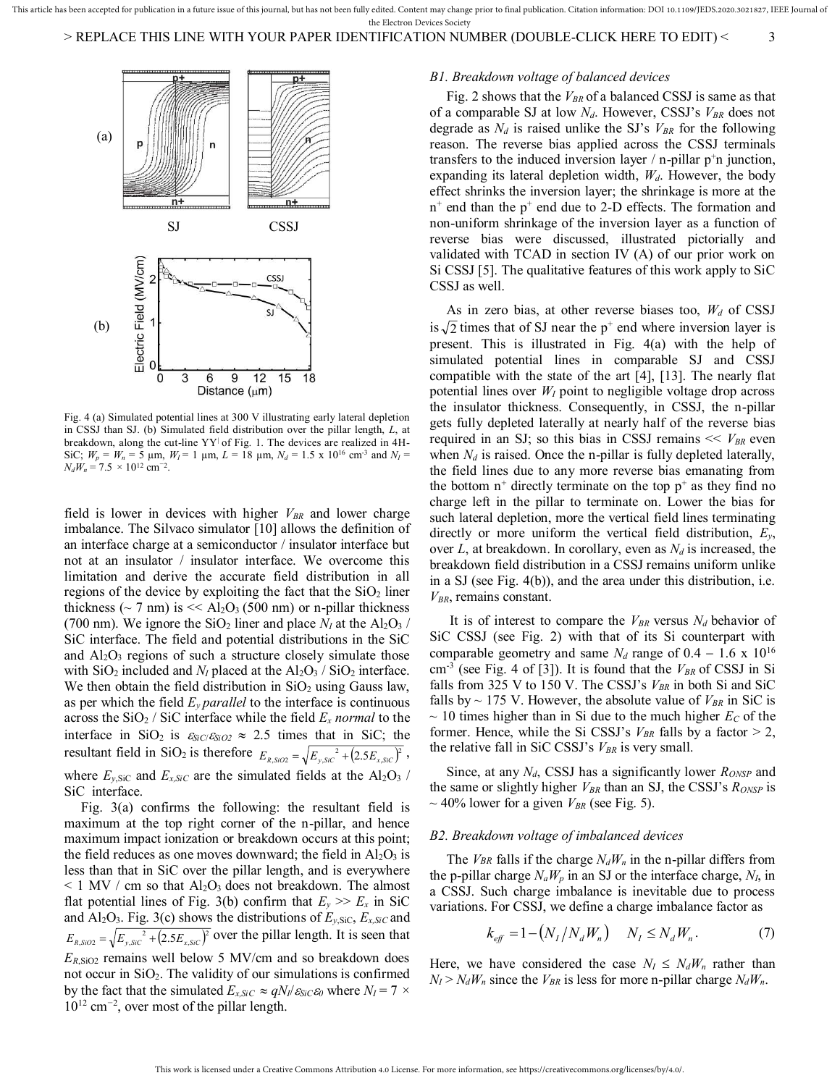

Fig. 4 (a) Simulated potential lines at 300 V illustrating early lateral depletion in CSSJ than SJ. (b) Simulated field distribution over the pillar length, *L*, at breakdown, along the cut-line YY| of Fig. 1. The devices are realized in 4H-SiC;  $W_p = W_n = 5 \text{ µm}, W_I = 1 \text{ µm}, L = 18 \text{ µm}, N_d = 1.5 \text{ x } 10^{16} \text{ cm}^{-3} \text{ and } N_I =$  $N_dW_n = 7.5 \times 10^{12}$  cm<sup>−2</sup>.

field is lower in devices with higher *VBR* and lower charge imbalance. The Silvaco simulator [10] allows the definition of an interface charge at a semiconductor / insulator interface but not at an insulator / insulator interface. We overcome this limitation and derive the accurate field distribution in all regions of the device by exploiting the fact that the  $SiO<sub>2</sub>$  liner thickness ( $\sim$  7 nm) is  $<<$  Al<sub>2</sub>O<sub>3</sub> (500 nm) or n-pillar thickness (700 nm). We ignore the  $SiO_2$  liner and place  $N_I$  at the  $Al_2O_3$  / SiC interface. The field and potential distributions in the SiC and  $Al_2O_3$  regions of such a structure closely simulate those with  $SiO_2$  included and  $N_I$  placed at the  $Al_2O_3$  /  $SiO_2$  interface. We then obtain the field distribution in  $SiO<sub>2</sub>$  using Gauss law, as per which the field  $E_y$  *parallel* to the interface is continuous across the  $SiO_2 / SiC$  interface while the field  $E_x$  *normal* to the interface in SiO<sub>2</sub> is  $\varepsilon_{SiC}/\varepsilon_{SiO2} \approx 2.5$  times that in SiC; the resultant field in SiO<sub>2</sub> is therefore  $E_{R, SIO2} = \sqrt{E_{\gamma, SIC}^2 + (2.5E_{\gamma, SIC})^2}$ , where  $E_{y,\text{SiC}}$  and  $E_{x,\text{SiC}}$  are the simulated fields at the Al<sub>2</sub>O<sub>3</sub> / SiC interface.

 Fig. 3(a) confirms the following: the resultant field is maximum at the top right corner of the n-pillar, and hence maximum impact ionization or breakdown occurs at this point; the field reduces as one moves downward; the field in  $Al_2O_3$  is less than that in SiC over the pillar length, and is everywhere  $\leq$  1 MV / cm so that Al<sub>2</sub>O<sub>3</sub> does not breakdown. The almost flat potential lines of Fig. 3(b) confirm that  $E_y \gg E_x$  in SiC and  $AI_2O_3$ . Fig. 3(c) shows the distributions of  $E_{y,SiC}$ ,  $E_{x,SiC}$  and  $E_{R, S, iO2} = \sqrt{E_{y, SiC}^2 + (2.5E_{x, SiC})^2}$  over the pillar length. It is seen that *ER*,SiO2 remains well below 5 MV/cm and so breakdown does not occur in  $SiO<sub>2</sub>$ . The validity of our simulations is confirmed by the fact that the simulated  $E_{x, SiC} \approx qN_I/\varepsilon_{SiC}\varepsilon_0$  where  $N_I = 7 \times$ 10<sup>12</sup> cm*<sup>−</sup>*<sup>2</sup> , over most of the pillar length.

# *B1. Breakdown voltage of balanced devices*

 Fig. 2 shows that the *VBR* of a balanced CSSJ is same as that of a comparable SJ at low *Nd*. However, CSSJ's *VBR* does not degrade as  $N_d$  is raised unlike the SJ's  $V_{BR}$  for the following reason. The reverse bias applied across the CSSJ terminals transfers to the induced inversion layer  $\ell$  n-pillar p<sup>+</sup>n junction, expanding its lateral depletion width, *Wd*. However, the body effect shrinks the inversion layer; the shrinkage is more at the n<sup>+</sup> end than the p<sup>+</sup> end due to 2-D effects. The formation and non-uniform shrinkage of the inversion layer as a function of reverse bias were discussed, illustrated pictorially and validated with TCAD in section IV (A) of our prior work on Si CSSJ [5]. The qualitative features of this work apply to SiC CSSJ as well.

 As in zero bias, at other reverse biases too, *Wd* of CSSJ is  $\sqrt{2}$  times that of SJ near the p<sup>+</sup> end where inversion layer is present. This is illustrated in Fig. 4(a) with the help of simulated potential lines in comparable SJ and CSSJ compatible with the state of the art [4], [13]. The nearly flat potential lines over  $W_I$  point to negligible voltage drop across the insulator thickness. Consequently, in CSSJ, the n-pillar gets fully depleted laterally at nearly half of the reverse bias required in an SJ; so this bias in CSSJ remains  $<< V_{BR}$  even when  $N_d$  is raised. Once the n-pillar is fully depleted laterally, the field lines due to any more reverse bias emanating from the bottom  $n^+$  directly terminate on the top  $p^+$  as they find no charge left in the pillar to terminate on. Lower the bias for such lateral depletion, more the vertical field lines terminating directly or more uniform the vertical field distribution, *Ey*, over *L*, at breakdown. In corollary, even as *Nd* is increased, the breakdown field distribution in a CSSJ remains uniform unlike in a SJ (see Fig. 4(b)), and the area under this distribution, i.e. *VBR*, remains constant.

It is of interest to compare the  $V_{BR}$  versus  $N_d$  behavior of SiC CSSJ (see Fig. 2) with that of its Si counterpart with comparable geometry and same  $N_d$  range of  $0.4 - 1.6 \times 10^{16}$ cm-3 (see Fig. 4 of [3]). It is found that the *VBR* of CSSJ in Si falls from 325 V to 150 V. The CSSJ's *VBR* in both Si and SiC falls by  $\sim$  175 V. However, the absolute value of  $V_{BR}$  in SiC is  $\sim$  10 times higher than in Si due to the much higher  $E_C$  of the former. Hence, while the Si CSSJ's  $V_{BR}$  falls by a factor  $> 2$ , the relative fall in SiC CSSJ's *VBR* is very small.

 Since, at any *Nd*, CSSJ has a significantly lower *RONSP* and the same or slightly higher *VBR* than an SJ, the CSSJ's *RONSP* is  $\sim$  40% lower for a given  $V_{BR}$  (see Fig. 5).

### *B2. Breakdown voltage of imbalanced devices*

The *VBR* falls if the charge  $N_dW_n$  in the n-pillar differs from the p-pillar charge  $N_aW_p$  in an SJ or the interface charge,  $N_I$ , in a CSSJ. Such charge imbalance is inevitable due to process variations. For CSSJ, we define a charge imbalance factor as

$$
k_{eff} = 1 - (N_I / N_d W_n) \qquad N_I \le N_d W_n. \tag{7}
$$

Here, we have considered the case  $N_I \leq N_dW_n$  rather than  $N_I > N_dW_n$  since the  $V_{BR}$  is less for more n-pillar charge  $N_dW_n$ .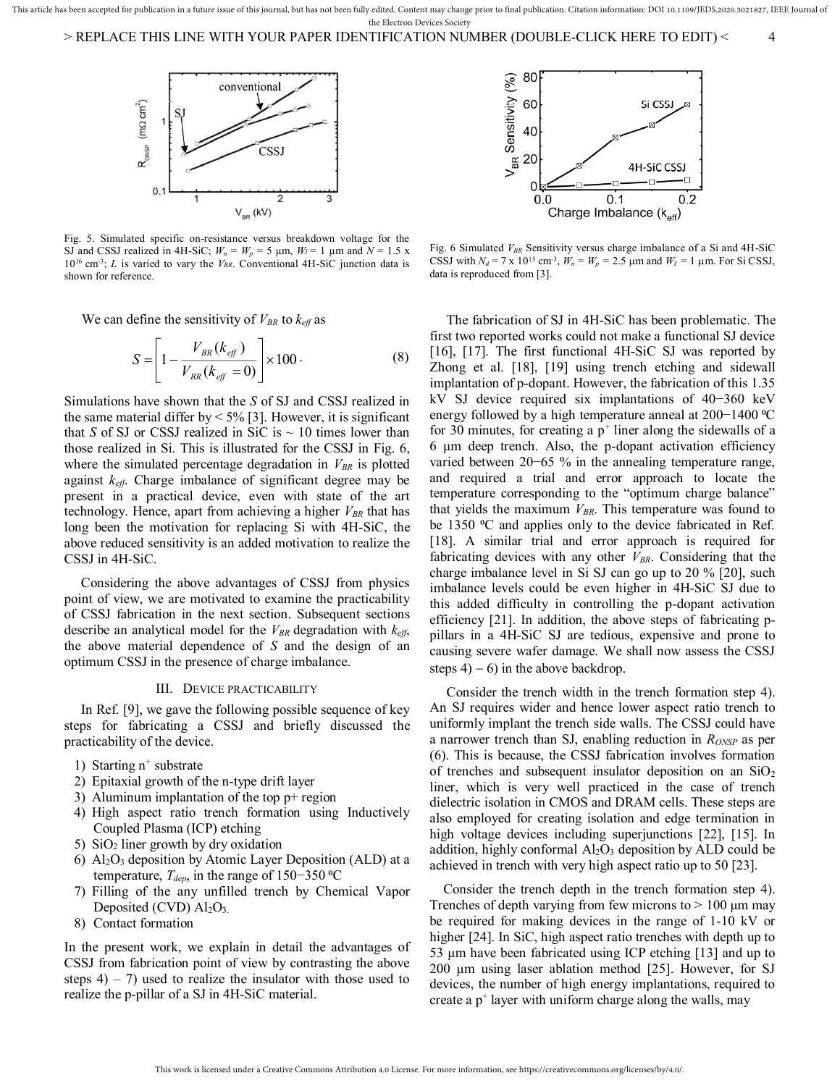

Fig. 5. Simulated specific on-resistance versus breakdown voltage for the SJ and CSSJ realized in 4H-SiC;  $W_n = W_p = 5$  µm,  $W_l = 1$  µm and  $N = 1.5$  x 10<sup>16</sup> cm-3; *L* is varied to vary the *VBR*. Conventional 4H-SiC junction data is shown for reference.

We can define the sensitivity of  $V_{BR}$  to  $k_{\text{eff}}$  as

$$
S = \left[1 - \frac{V_{BR}(k_{\text{eff}})}{V_{BR}(k_{\text{eff}} = 0)}\right] \times 100.
$$
 (8)

Simulations have shown that the *S* of SJ and CSSJ realized in the same material differ by  $\leq 5\%$  [3]. However, it is significant that *S* of SJ or CSSJ realized in SiC is  $\sim$  10 times lower than those realized in Si. This is illustrated for the CSSJ in Fig. 6, where the simulated percentage degradation in *VBR* is plotted against *keff*. Charge imbalance of significant degree may be present in a practical device, even with state of the art technology. Hence, apart from achieving a higher *VBR* that has long been the motivation for replacing Si with 4H-SiC, the above reduced sensitivity is an added motivation to realize the CSSJ in 4H-SiC.

 Considering the above advantages of CSSJ from physics point of view, we are motivated to examine the practicability of CSSJ fabrication in the next section. Subsequent sections describe an analytical model for the *VBR* degradation with *keff*, the above material dependence of *S* and the design of an optimum CSSJ in the presence of charge imbalance.

### III. DEVICE PRACTICABILITY

 In Ref. [9], we gave the following possible sequence of key steps for fabricating a CSSJ and briefly discussed the practicability of the device.

- 1) Starting  $n^+$  substrate
- 2) Epitaxial growth of the n-type drift layer
- 3) Aluminum implantation of the top p+ region
- 4) High aspect ratio trench formation using Inductively Coupled Plasma (ICP) etching
- 5)  $SiO<sub>2</sub>$  liner growth by dry oxidation
- 6)  $\text{Al}_2\text{O}_3$  deposition by Atomic Layer Deposition (ALD) at a temperature, *Tdep*, in the range of 150−350 ⁰C
- 7) Filling of the any unfilled trench by Chemical Vapor Deposited (CVD)  $Al<sub>2</sub>O<sub>3</sub>$ .
- 8) Contact formation

In the present work, we explain in detail the advantages of CSSJ from fabrication point of view by contrasting the above steps  $4$ ) – 7) used to realize the insulator with those used to realize the p-pillar of a SJ in 4H-SiC material.



Fig. 6 Simulated *VBR* Sensitivity versus charge imbalance of a Si and 4H-SiC CSSJ with  $N_d = 7 \times 10^{15}$  cm<sup>-3</sup>,  $W_n = W_p = 2.5 \mu$ m and  $W_I = 1 \mu$ m. For Si CSSJ, data is reproduced from [3].

 The fabrication of SJ in 4H-SiC has been problematic. The first two reported works could not make a functional SJ device [16], [17]. The first functional 4H-SiC SJ was reported by Zhong et al. [18], [19] using trench etching and sidewall implantation of p-dopant. However, the fabrication of this 1.35 kV SJ device required six implantations of 40−360 keV energy followed by a high temperature anneal at 200-1400 ℃ for 30 minutes, for creating a  $p^+$  liner along the sidewalls of a 6 μm deep trench. Also, the p-dopant activation efficiency varied between 20−65 % in the annealing temperature range, and required a trial and error approach to locate the temperature corresponding to the "optimum charge balance" that yields the maximum *VBR*. This temperature was found to be 1350 °C and applies only to the device fabricated in Ref. [18]. A similar trial and error approach is required for fabricating devices with any other *VBR*. Considering that the charge imbalance level in Si SJ can go up to 20 % [20], such imbalance levels could be even higher in 4H-SiC SJ due to this added difficulty in controlling the p-dopant activation efficiency [21]. In addition, the above steps of fabricating ppillars in a 4H-SiC SJ are tedious, expensive and prone to causing severe wafer damage. We shall now assess the CSSJ steps  $4$ ) – 6) in the above backdrop.

 Consider the trench width in the trench formation step 4). An SJ requires wider and hence lower aspect ratio trench to uniformly implant the trench side walls. The CSSJ could have a narrower trench than SJ, enabling reduction in *RONSP* as per (6). This is because, the CSSJ fabrication involves formation of trenches and subsequent insulator deposition on an  $SiO<sub>2</sub>$ liner, which is very well practiced in the case of trench dielectric isolation in CMOS and DRAM cells. These steps are also employed for creating isolation and edge termination in high voltage devices including superjunctions [22], [15]. In addition, highly conformal  $Al_2O_3$  deposition by ALD could be achieved in trench with very high aspect ratio up to 50 [23].

 Consider the trench depth in the trench formation step 4). Trenches of depth varying from few microns to  $> 100 \mu m$  may be required for making devices in the range of 1-10 kV or higher [24]. In SiC, high aspect ratio trenches with depth up to 53 μm have been fabricated using ICP etching [13] and up to 200 μm using laser ablation method [25]. However, for SJ devices, the number of high energy implantations, required to create a  $p^+$  layer with uniform charge along the walls, may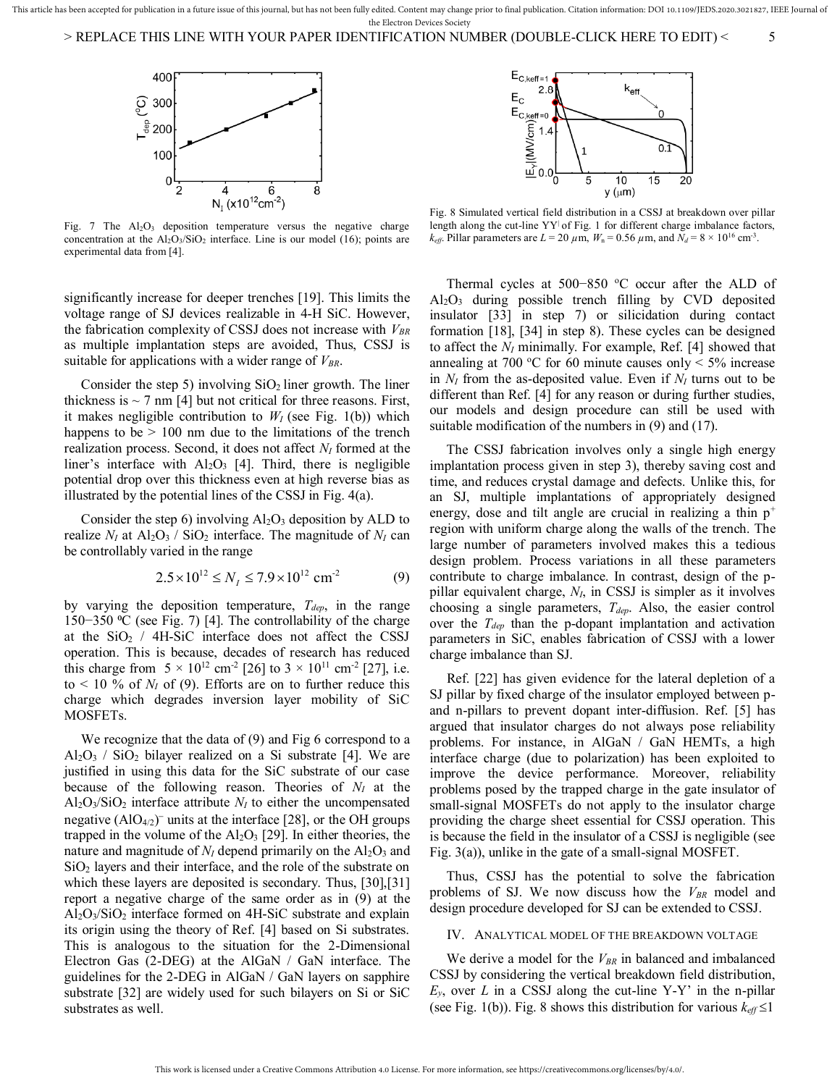

Fig. 7 The  $Al_2O_3$  deposition temperature versus the negative charge concentration at the  $Al_2O_3/SiO_2$  interface. Line is our model (16); points are experimental data from [4].

significantly increase for deeper trenches [19]. This limits the voltage range of SJ devices realizable in 4-H SiC. However, the fabrication complexity of CSSJ does not increase with *VBR* as multiple implantation steps are avoided, Thus, CSSJ is suitable for applications with a wider range of *VBR*.

Consider the step 5) involving  $SiO<sub>2</sub>$  liner growth. The liner thickness is  $\sim$  7 nm [4] but not critical for three reasons. First, it makes negligible contribution to  $W_I$  (see Fig. 1(b)) which happens to be  $> 100$  nm due to the limitations of the trench realization process. Second, it does not affect *NI* formed at the liner's interface with  $Al_2O_3$  [4]. Third, there is negligible potential drop over this thickness even at high reverse bias as illustrated by the potential lines of the CSSJ in Fig. 4(a).

Consider the step 6) involving  $Al_2O_3$  deposition by ALD to realize  $N_I$  at  $Al_2O_3$  /  $SiO_2$  interface. The magnitude of  $N_I$  can be controllably varied in the range

$$
2.5 \times 10^{12} \le N_I \le 7.9 \times 10^{12} \text{ cm}^{-2}
$$
 (9)

by varying the deposition temperature, *Tdep*, in the range 150−350 ⁰C (see Fig. 7) [4]. The controllability of the charge at the  $SiO<sub>2</sub>$  / 4H-SiC interface does not affect the CSSJ operation. This is because, decades of research has reduced this charge from  $5 \times 10^{12}$  cm<sup>-2</sup> [26] to  $3 \times 10^{11}$  cm<sup>-2</sup> [27], i.e. to  $\leq 10$  % of  $N_I$  of (9). Efforts are on to further reduce this charge which degrades inversion layer mobility of SiC MOSFETs.

 We recognize that the data of (9) and Fig 6 correspond to a  $Al_2O_3$  /  $SiO_2$  bilayer realized on a Si substrate [4]. We are justified in using this data for the SiC substrate of our case because of the following reason. Theories of *NI* at the  $Al_2O_3/SiO_2$  interface attribute  $N_I$  to either the uncompensated negative  $(AIO_{4/2})$ <sup>-</sup> units at the interface [28], or the OH groups trapped in the volume of the  $Al_2O_3$  [29]. In either theories, the nature and magnitude of  $N_I$  depend primarily on the  $Al_2O_3$  and SiO2 layers and their interface, and the role of the substrate on which these layers are deposited is secondary. Thus, [30],[31] report a negative charge of the same order as in (9) at the  $Al_2O_3/SiO_2$  interface formed on 4H-SiC substrate and explain its origin using the theory of Ref. [4] based on Si substrates. This is analogous to the situation for the 2-Dimensional Electron Gas (2-DEG) at the AlGaN / GaN interface. The guidelines for the 2-DEG in AlGaN / GaN layers on sapphire substrate [32] are widely used for such bilayers on Si or SiC substrates as well.



Fig. 8 Simulated vertical field distribution in a CSSJ at breakdown over pillar length along the cut-line YY<sup>|</sup> of Fig. 1 for different charge imbalance factors,  $k_{\text{eff}}$ . Pillar parameters are  $L = 20 \ \mu \text{m}$ ,  $W_n = 0.56 \ \mu \text{m}$ , and  $N_d = 8 \times 10^{16} \text{ cm}^3$ .

Thermal cycles at 500-850 °C occur after the ALD of  $Al_2O_3$  during possible trench filling by CVD deposited insulator [33] in step 7) or silicidation during contact formation [18], [34] in step 8). These cycles can be designed to affect the *NI* minimally. For example, Ref. [4] showed that annealing at 700 °C for 60 minute causes only  $\leq 5\%$  increase in  $N_I$  from the as-deposited value. Even if  $N_I$  turns out to be different than Ref. [4] for any reason or during further studies, our models and design procedure can still be used with suitable modification of the numbers in (9) and (17).

 The CSSJ fabrication involves only a single high energy implantation process given in step 3), thereby saving cost and time, and reduces crystal damage and defects. Unlike this, for an SJ, multiple implantations of appropriately designed energy, dose and tilt angle are crucial in realizing a thin  $p^+$ region with uniform charge along the walls of the trench. The large number of parameters involved makes this a tedious design problem. Process variations in all these parameters contribute to charge imbalance. In contrast, design of the ppillar equivalent charge, *NI*, in CSSJ is simpler as it involves choosing a single parameters, *Tdep*. Also, the easier control over the *Tdep* than the p-dopant implantation and activation parameters in SiC, enables fabrication of CSSJ with a lower charge imbalance than SJ.

 Ref. [22] has given evidence for the lateral depletion of a SJ pillar by fixed charge of the insulator employed between pand n-pillars to prevent dopant inter-diffusion. Ref. [5] has argued that insulator charges do not always pose reliability problems. For instance, in AlGaN / GaN HEMTs, a high interface charge (due to polarization) has been exploited to improve the device performance. Moreover, reliability problems posed by the trapped charge in the gate insulator of small-signal MOSFETs do not apply to the insulator charge providing the charge sheet essential for CSSJ operation. This is because the field in the insulator of a CSSJ is negligible (see Fig. 3(a)), unlike in the gate of a small-signal MOSFET.

 Thus, CSSJ has the potential to solve the fabrication problems of SJ. We now discuss how the *VBR* model and design procedure developed for SJ can be extended to CSSJ.

## IV. ANALYTICAL MODEL OF THE BREAKDOWN VOLTAGE

 We derive a model for the *VBR* in balanced and imbalanced CSSJ by considering the vertical breakdown field distribution,  $E_y$ , over *L* in a CSSJ along the cut-line Y-Y' in the n-pillar (see Fig. 1(b)). Fig. 8 shows this distribution for various  $k_{\text{eff}} \leq 1$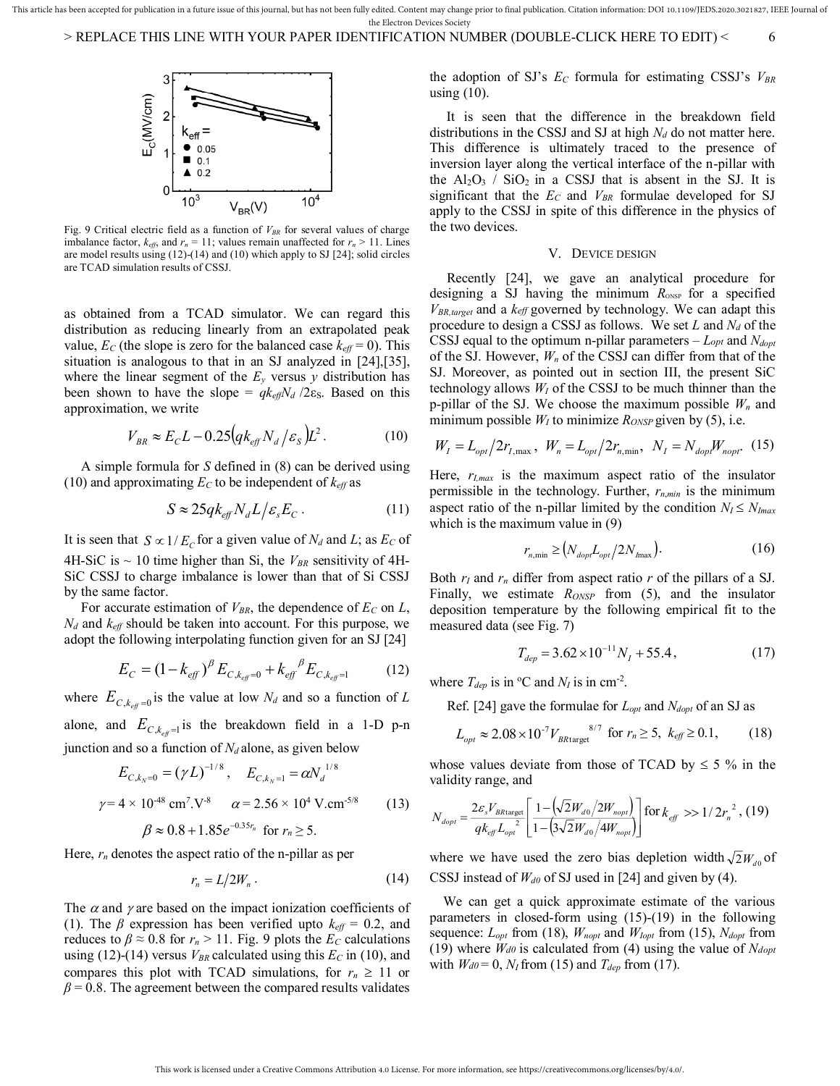

Fig. 9 Critical electric field as a function of *VBR* for several values of charge imbalance factor,  $k_{\text{eff}}$ , and  $r_n = 11$ ; values remain unaffected for  $r_n > 11$ . Lines are model results using (12)-(14) and (10) which apply to SJ [24]; solid circles are TCAD simulation results of CSSJ.

as obtained from a TCAD simulator. We can regard this distribution as reducing linearly from an extrapolated peak value,  $E_C$  (the slope is zero for the balanced case  $k_{\text{eff}} = 0$ ). This situation is analogous to that in an SJ analyzed in [24],[35], where the linear segment of the  $E_y$  versus  $y$  distribution has been shown to have the slope =  $q k_{\text{eff}} N_d / 2 \varepsilon_S$ . Based on this approximation, we write

$$
V_{BR} \approx E_C L - 0.25 \left( q k_{\text{eff}} N_d / \varepsilon_s \right) L^2. \tag{10}
$$

 A simple formula for *S* defined in (8) can be derived using (10) and approximating  $E_C$  to be independent of  $k_{\text{eff}}$  as

$$
S \approx 25q k_{\text{eff}} N_d L / \varepsilon_s E_c \,. \tag{11}
$$

It is seen that  $S \propto 1/E_c$  for a given value of  $N_d$  and *L*; as  $E_c$  of 4H-SiC is  $\sim$  10 time higher than Si, the  $V_{BR}$  sensitivity of 4H-SiC CSSJ to charge imbalance is lower than that of Si CSSJ by the same factor.

 For accurate estimation of *VBR*, the dependence of *EC* on *L*, *Nd* and *keff* should be taken into account. For this purpose, we adopt the following interpolating function given for an SJ [24]

$$
E_C = (1 - k_{\text{eff}})^{\beta} E_{C, k_{\text{eff}} = 0} + k_{\text{eff}}^{\beta} E_{C, k_{\text{eff}} = 1} \tag{12}
$$

where  $E_{C, k_{\text{eff}}=0}$  is the value at low  $N_d$  and so a function of *L* alone, and  $E_{C, k_{\text{eff}}=1}$  is the breakdown field in a 1-D p-n junction and so a function of  $N_d$  alone, as given below

$$
E_{C,k_N=0} = (\gamma L)^{-1/8}, \quad E_{C,k_N=1} = \alpha N_d^{1/8}
$$
  
\n
$$
\gamma = 4 \times 10^{-48} \text{ cm}^7.\text{V}^{-8} \qquad \alpha = 2.56 \times 10^4 \text{ V.cm}^{-5/8} \tag{13}
$$
  
\n
$$
\beta \approx 0.8 + 1.85e^{-0.35r_n} \text{ for } r_n \ge 5.
$$

Here, *rn* denotes the aspect ratio of the n-pillar as per

$$
r_n = L/2W_n \,. \tag{14}
$$

The  $\alpha$  and  $\gamma$  are based on the impact ionization coefficients of (1). The  $\beta$  expression has been verified upto  $k_{\text{eff}} = 0.2$ , and reduces to  $\beta \approx 0.8$  for  $r_n > 11$ . Fig. 9 plots the  $E_C$  calculations using (12)-(14) versus  $V_{BR}$  calculated using this  $E_C$  in (10), and compares this plot with TCAD simulations, for  $r_n \geq 11$  or  $\beta$  = 0.8. The agreement between the compared results validates

the adoption of SJ's  $E_C$  formula for estimating CSSJ's  $V_{BR}$ using  $(10)$ .

 It is seen that the difference in the breakdown field distributions in the CSSJ and SJ at high *Nd* do not matter here. This difference is ultimately traced to the presence of inversion layer along the vertical interface of the n-pillar with the  $Al_2O_3$  /  $SiO_2$  in a CSSJ that is absent in the SJ. It is significant that the *EC* and *VBR* formulae developed for SJ apply to the CSSJ in spite of this difference in the physics of the two devices.

# V. DEVICE DESIGN

 Recently [24], we gave an analytical procedure for designing a SJ having the minimum  $R_{\text{ONSP}}$  for a specified *VBR,target* and a *keff* governed by technology. We can adapt this procedure to design a CSSJ as follows. We set *L* and *Nd* of the CSSJ equal to the optimum n-pillar parameters – *Lopt* and *Ndopt* of the SJ. However, *Wn* of the CSSJ can differ from that of the SJ. Moreover, as pointed out in section III, the present SiC technology allows *WI* of the CSSJ to be much thinner than the p-pillar of the SJ. We choose the maximum possible *Wn* and minimum possible  $W_I$  to minimize  $R_{ONSP}$  given by (5), i.e.

$$
W_{I} = L_{opt}/2r_{I,\text{max}}, \ W_{n} = L_{opt}/2r_{n,\text{min}}, \ N_{I} = N_{dop}W_{nopt}. \tag{15}
$$

Here, *rI,max* is the maximum aspect ratio of the insulator permissible in the technology. Further, *rn*,*min* is the minimum aspect ratio of the n-pillar limited by the condition  $N_I \leq N_{Imax}$ which is the maximum value in (9)

$$
r_{n,\min} \ge \left( N_{dop} L_{opt} / 2N_{\max} \right). \tag{16}
$$

Both  $r_I$  and  $r_n$  differ from aspect ratio  $r$  of the pillars of a SJ. Finally, we estimate *RONSP* from (5), and the insulator deposition temperature by the following empirical fit to the measured data (see Fig. 7)

$$
T_{dep} = 3.62 \times 10^{-11} N_I + 55.4, \tag{17}
$$

where  $T_{dep}$  is in °C and  $N_I$  is in cm<sup>-2</sup>.

Ref. [24] gave the formulae for *Lopt* and *Ndopt* of an SJ as

$$
L_{opt} \approx 2.08 \times 10^{-7} V_{B\text{Rtarget}}^{8/7} \text{ for } r_n \ge 5, \ k_{\text{eff}} \ge 0.1, \tag{18}
$$

whose values deviate from those of TCAD by  $\leq$  5 % in the validity range, and

$$
N_{dopt} = \frac{2\varepsilon_{s} V_{B\text{Rtarget}}}{q k_{\text{eff}} L_{opt}} \left[ \frac{1 - \left(\sqrt{2} W_{d0} / 2 W_{nopt}}{1 - \left(3\sqrt{2} W_{d0} / 4 W_{nopt}}\right)\right)} \right] \text{for } k_{\text{eff}} \gg 1 / 2r_{n}^{2}, (19)
$$

where we have used the zero bias depletion width  $\sqrt{2}W_{d0}$  of CSSJ instead of *Wd0* of SJ used in [24] and given by (4).

 We can get a quick approximate estimate of the various parameters in closed-form using (15)-(19) in the following sequence:  $L_{opt}$  from (18),  $W_{nopt}$  and  $W_{lopt}$  from (15),  $N_{dopt}$  from (19) where *Wd0* is calculated from (4) using the value of *Ndopt*  with  $W_{d0} = 0$ ,  $N_I$  from (15) and  $T_{dep}$  from (17).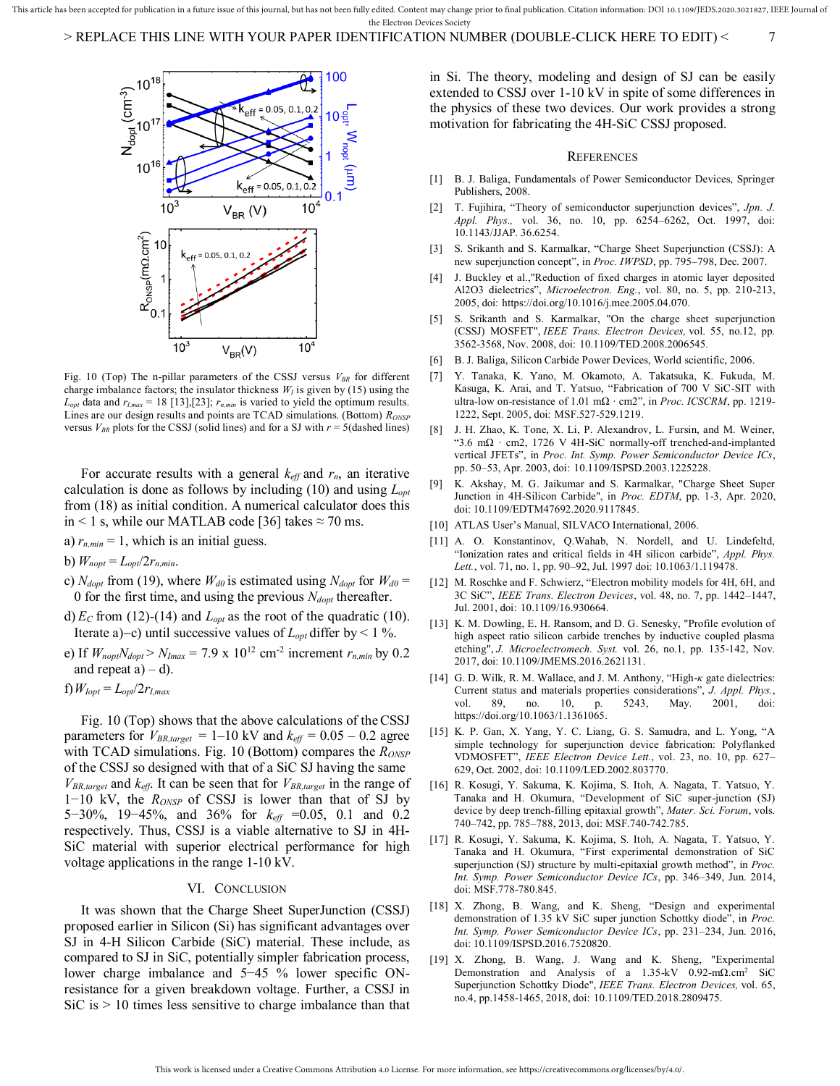This article has been accepted for publication in a future issue of this journal, but has not been fully edited. Content may change prior to final publication. Citation information: DOI 10.1109/JEDS.2020.3021827, IEEE Jour the Electron Devices Society

> REPLACE THIS LINE WITH YOUR PAPER IDENTIFICATION NUMBER (DOUBLE-CLICK HERE TO EDIT) < 7



Fig. 10 (Top) The n-pillar parameters of the CSSJ versus *VBR* for different charge imbalance factors; the insulator thickness  $W_I$  is given by (15) using the  $L_{opt}$  data and  $r_{I,max} = 18$  [13], [23];  $r_{n,min}$  is varied to yield the optimum results. Lines are our design results and points are TCAD simulations. (Bottom) *RONSP* versus  $V_{BR}$  plots for the CSSJ (solid lines) and for a SJ with  $r = 5$  (dashed lines)

For accurate results with a general  $k_{\text{eff}}$  and  $r_n$ , an iterative calculation is done as follows by including (10) and using *Lopt* from (18) as initial condition. A numerical calculator does this in < 1 s, while our MATLAB code [36] takes  $\approx$  70 ms.

- a)  $r_{n,min} = 1$ , which is an initial guess.
- b)  $W_{nopt} = L_{opt}/2r_{n,min}$ .
- c)  $N_{dopt}$  from (19), where  $W_{d0}$  is estimated using  $N_{dopt}$  for  $W_{d0}$  = 0 for the first time, and using the previous *Ndopt* thereafter.
- d)  $E_C$  from (12)-(14) and  $L_{opt}$  as the root of the quadratic (10). Iterate a)–c) until successive values of  $L_{opt}$  differ by < 1 %.
- e) If  $W_{nopt}N_{dopt} > N_{Imax} = 7.9 \times 10^{12} \text{ cm}^{-2}$  increment  $r_{n,min}$  by 0.2 and repeat  $a$ ) – d).
- f)*WIopt* = *Lopt*/2*rI,max*

 Fig. 10 (Top) shows that the above calculations of theCSSJ parameters for  $V_{BR,target}$  = 1–10 kV and  $k_{eff}$  = 0.05 – 0.2 agree with TCAD simulations. Fig. 10 (Bottom) compares the *R*<sub>*ONSP*</sub> of the CSSJ so designed with that of a SiC SJ having the same *VBR,target* and *keff*. It can be seen that for *VBR,target* in the range of 1−10 kV, the *RONSP* of CSSJ is lower than that of SJ by 5−30%, 19−45%, and 36% for *keff* =0.05, 0.1 and 0.2 respectively. Thus, CSSJ is a viable alternative to SJ in 4H-SiC material with superior electrical performance for high voltage applications in the range 1-10 kV.

# VI. CONCLUSION

 It was shown that the Charge Sheet SuperJunction (CSSJ) proposed earlier in Silicon (Si) has significant advantages over SJ in 4-H Silicon Carbide (SiC) material. These include, as compared to SJ in SiC, potentially simpler fabrication process, lower charge imbalance and 5−45 % lower specific ONresistance for a given breakdown voltage. Further, a CSSJ in  $SiC$  is  $> 10$  times less sensitive to charge imbalance than that in Si. The theory, modeling and design of SJ can be easily extended to CSSJ over 1-10 kV in spite of some differences in the physics of these two devices. Our work provides a strong motivation for fabricating the 4H-SiC CSSJ proposed.

#### **REFERENCES**

- [1] B. J. Baliga, Fundamentals of Power Semiconductor Devices, Springer Publishers, 2008.
- [2] T. Fujihira, "Theory of semiconductor superjunction devices", *Jpn. J. Appl. Phys.,* vol. 36, no. 10, pp. 6254–6262, Oct. 1997, doi: 10.1143/JJAP. 36.6254.
- [3] S. Srikanth and S. Karmalkar, "Charge Sheet Superjunction (CSSJ): A new superjunction concept", in *Proc. IWPSD*, pp. 795–798, Dec. 2007.
- [4] J. Buckley et al.,"Reduction of fixed charges in atomic layer deposited Al2O3 dielectrics", *Microelectron. Eng.*, vol. 80, no. 5, pp. 210-213, 2005, doi: https://doi.org/10.1016/j.mee.2005.04.070.
- [5] S. Srikanth and S. Karmalkar, "On the charge sheet superjunction (CSSJ) MOSFET", *IEEE Trans. Electron Devices,* vol. 55, no.12, pp. 3562-3568, Nov. 2008, doi: 10.1109/TED.2008.2006545*.*
- [6] B. J. Baliga, Silicon Carbide Power Devices, World scientific, 2006.
- [7] Y. Tanaka, K. Yano, M. Okamoto, A. Takatsuka, K. Fukuda, M. Kasuga, K. Arai, and T. Yatsuo, "Fabrication of 700 V SiC-SIT with ultra-low on-resistance of 1.01 mΩ *·* cm2", in *Proc. ICSCRM*, pp. 1219- 1222, Sept. 2005, doi: MSF.527-529.1219.
- J. H. Zhao, K. Tone, X. Li, P. Alexandrov, L. Fursin, and M. Weiner, "3.6 mΩ *·* cm2, 1726 V 4H-SiC normally-off trenched-and-implanted vertical JFETs", in *Proc. Int. Symp. Power Semiconductor Device ICs*, pp. 50–53, Apr. 2003, doi: 10.1109/ISPSD.2003.1225228.
- [9] K. Akshay, M. G. Jaikumar and S. Karmalkar, "Charge Sheet Super Junction in 4H-Silicon Carbide", in *Proc. EDTM*, pp. 1-3, Apr. 2020, doi: 10.1109/EDTM47692.2020.9117845.
- [10] ATLAS User's Manual, SILVACO International, 2006.
- [11] A. O. Konstantinov, Q.Wahab, N. Nordell, and U. Lindefeltd, "Ionization rates and critical fields in 4H silicon carbide", *Appl. Phys. Lett.*, vol. 71, no. 1, pp. 90–92, Jul. 1997 doi: 10.1063/1.119478.
- [12] M. Roschke and F. Schwierz, "Electron mobility models for 4H, 6H, and 3C SiC", *IEEE Trans. Electron Devices*, vol. 48, no. 7, pp. 1442–1447, Jul. 2001, doi: 10.1109/16.930664.
- [13] K. M. Dowling, E. H. Ransom, and D. G. Senesky, "Profile evolution of high aspect ratio silicon carbide trenches by inductive coupled plasma etching", *J. Microelectromech. Syst.* vol. 26, no.1, pp. 135-142, Nov. 2017, doi[: 10.1109/JMEMS.2016.2621131.](https://doi.org/10.1109/JMEMS.2016.2621131)
- [14] G. D. Wilk*,* R. M. Wallace, and J. M. Anthony, "High-*κ* gate dielectrics: Current status and materials properties considerations", *J. Appl. Phys.*, vol. 89, no. 10, p. 5243, May. 2001, doi: https://doi.org/10.1063/1.1361065.
- [15] K. P. Gan, X. Yang, Y. C. Liang, G. S. Samudra, and L. Yong, "A simple technology for superjunction device fabrication: Polyflanked VDMOSFET", *IEEE Electron Device Lett.*, vol. 23, no. 10, pp. 627– 629, Oct. 2002, doi: 10.1109/LED.2002.803770.
- [16] R. Kosugi, Y. Sakuma, K. Kojima, S. Itoh, A. Nagata, T. Yatsuo, Y. Tanaka and H. Okumura, "Development of SiC super-junction (SJ) device by deep trench-filling epitaxial growth", *Mater. Sci. Forum*, vols. 740–742, pp. 785–788, 2013, doi[: MSF.740-742.785.](https://doi.org/10.4028/www.scientific.net/MSF.740-742.785)
- [17] R. Kosugi, Y. Sakuma, K. Kojima, S. Itoh, A. Nagata, T. Yatsuo, Y. Tanaka and H. Okumura, "First experimental demonstration of SiC superjunction (SJ) structure by multi-epitaxial growth method", in *Proc. Int. Symp. Power Semiconductor Device ICs*, pp. 346–349, Jun. 2014, doi[: MSF.778-780.845.](https://doi.org/10.4028/www.scientific.net/MSF.778-780.845)
- [18] X. Zhong, B. Wang, and K. Sheng, "Design and experimental demonstration of 1.35 kV SiC super junction Schottky diode", in *Proc. Int. Symp. Power Semiconductor Device ICs*, pp. 231–234, Jun. 2016, doi[: 10.1109/ISPSD.2016.7520820.](https://doi.org/10.1109/ISPSD.2016.7520820)
- [19] X. Zhong, B. Wang, J. Wang and K. Sheng, "Experimental Demonstration and Analysis of a 1.35-kV 0.92-mΩ.cm<sup>2</sup> SiC Superjunction Schottky Diode", *IEEE Trans. Electron Devices,* vol. 65, no.4, pp.1458-1465, 2018, doi: 10.1109/TED.2018.2809475.